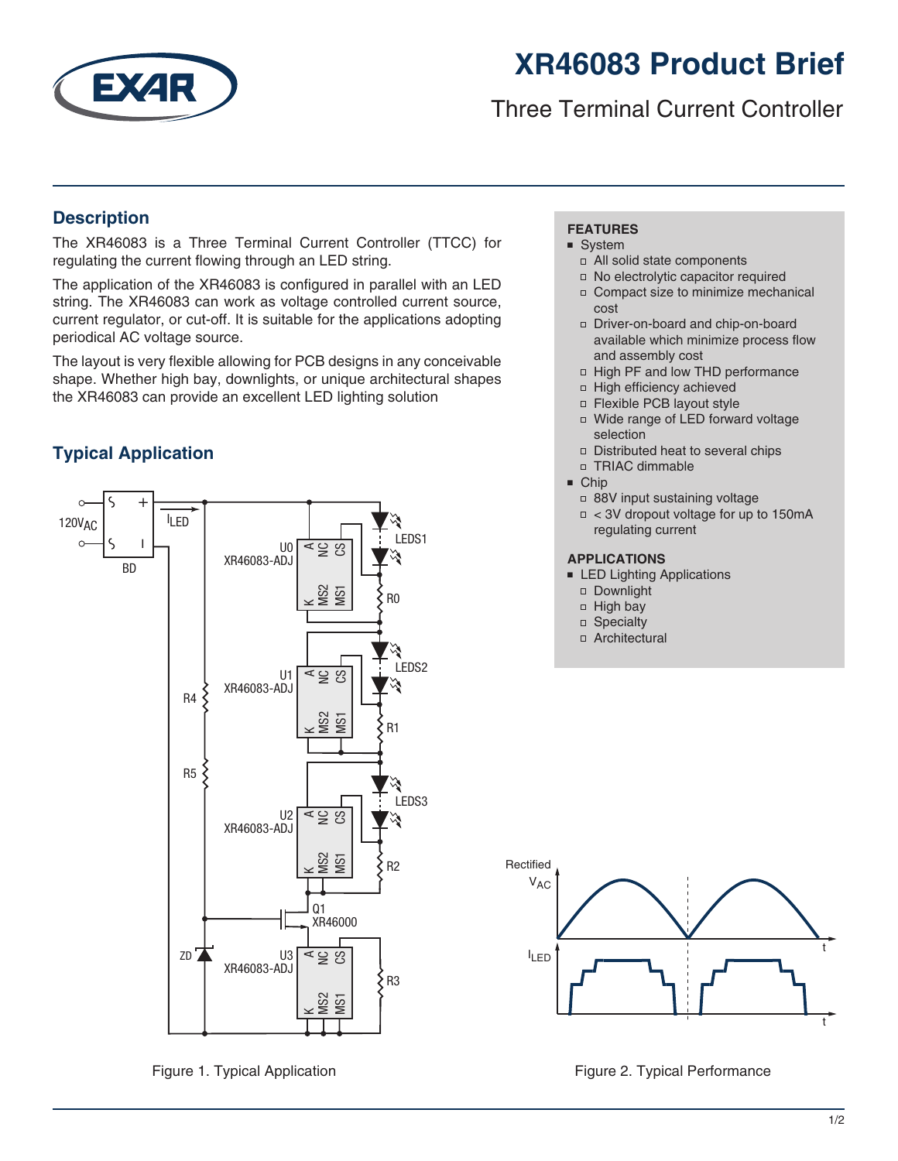

# **XR46083 Product Brief**

# Three Terminal Current Controller

### **Description**

The XR46083 is a Three Terminal Current Controller (TTCC) for regulating the current flowing through an LED string.

The application of the XR46083 is configured in parallel with an LED string. The XR46083 can work as voltage controlled current source, current regulator, or cut-off. It is suitable for the applications adopting periodical AC voltage source.

The layout is very flexible allowing for PCB designs in any conceivable shape. Whether high bay, downlights, or unique architectural shapes the XR46083 can provide an excellent LED lighting solution

## **Typical Application**



### **FEATURES**

- System
- All solid state components
- No electrolytic capacitor required
- Compact size to minimize mechanical cost
- Driver-on-board and chip-on-board available which minimize process flow and assembly cost
- □ High PF and low THD performance
- High efficiency achieved
- Flexible PCB layout style
- Wide range of LED forward voltage selection
- Distributed heat to several chips
- TRIAC dimmable

### ■ Chip

- 88V input sustaining voltage
- $\Box$  < 3V dropout voltage for up to 150mA regulating current

#### **APPLICATIONS**

- LED Lighting Applications
- Downlight
- $\Box$  High bay
- □ Specialty
- Architectural



Figure 1. Typical Application **Figure 2. Typical Performance** Figure 2. Typical Performance